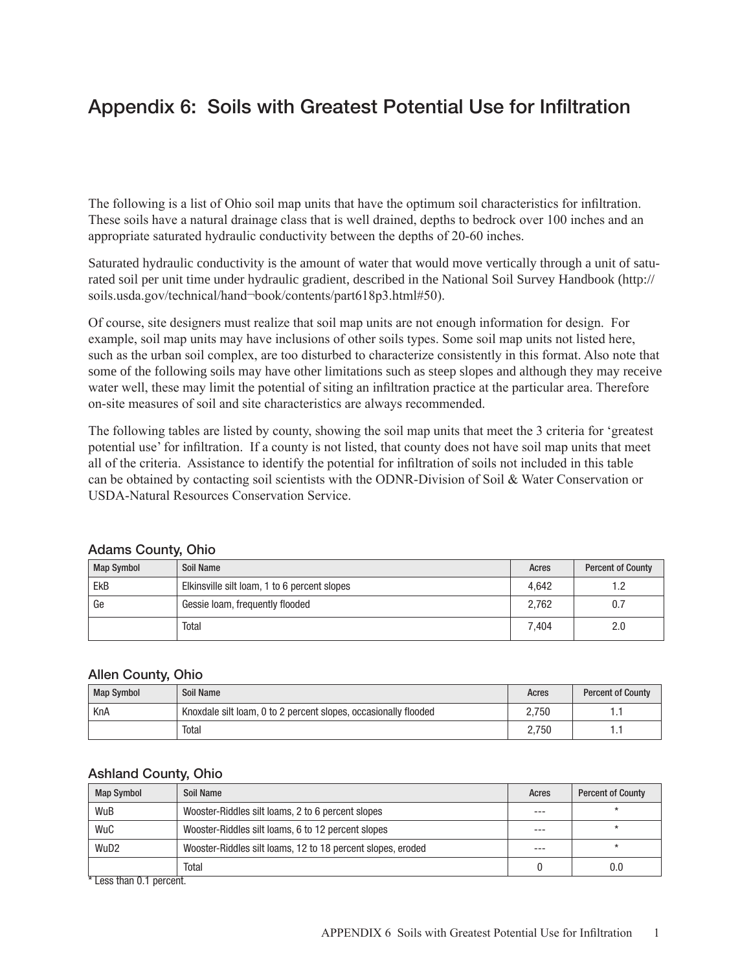# Appendix 6: Soils with Greatest Potential Use for Infiltration

The following is a list of Ohio soil map units that have the optimum soil characteristics for infiltration. These soils have a natural drainage class that is well drained, depths to bedrock over 100 inches and an appropriate saturated hydraulic conductivity between the depths of 20-60 inches.

Saturated hydraulic conductivity is the amount of water that would move vertically through a unit of saturated soil per unit time under hydraulic gradient, described in the National Soil Survey Handbook (http:// soils.usda.gov/technical/hand¬book/contents/part618p3.html#50).

Of course, site designers must realize that soil map units are not enough information for design. For example, soil map units may have inclusions of other soils types. Some soil map units not listed here, such as the urban soil complex, are too disturbed to characterize consistently in this format. Also note that some of the following soils may have other limitations such as steep slopes and although they may receive water well, these may limit the potential of siting an infiltration practice at the particular area. Therefore on-site measures of soil and site characteristics are always recommended.

The following tables are listed by county, showing the soil map units that meet the 3 criteria for 'greatest potential use' for infiltration. If a county is not listed, that county does not have soil map units that meet all of the criteria. Assistance to identify the potential for infiltration of soils not included in this table can be obtained by contacting soil scientists with the ODNR-Division of Soil & Water Conservation or USDA-Natural Resources Conservation Service.

#### Adams County, Ohio

| Map Symbol | Soil Name                                    | Acres | <b>Percent of County</b> |
|------------|----------------------------------------------|-------|--------------------------|
| <b>EkB</b> | Elkinsville silt loam, 1 to 6 percent slopes | 4.642 |                          |
| Ge         | Gessie loam, frequently flooded              | 2.762 | 0.7                      |
|            | Total                                        | 7.404 | 2.0                      |

#### Allen County, Ohio

| <b>Map Symbol</b> | Soil Name                                                       | Acres | <b>Percent of County</b> |
|-------------------|-----------------------------------------------------------------|-------|--------------------------|
| KnA               | Knoxdale silt loam, 0 to 2 percent slopes, occasionally flooded | 2.750 |                          |
|                   | Total                                                           | 2.750 |                          |

#### Ashland County, Ohio

| <b>Map Symbol</b>          | Soil Name                                                   | Acres | <b>Percent of County</b> |
|----------------------------|-------------------------------------------------------------|-------|--------------------------|
| WuB                        | Wooster-Riddles silt loams, 2 to 6 percent slopes           | ---   |                          |
| WuC                        | Wooster-Riddles silt loams, 6 to 12 percent slopes          | $--$  |                          |
| WuD <sub>2</sub>           | Wooster-Riddles silt loams, 12 to 18 percent slopes, eroded | ---   |                          |
|                            | Total                                                       |       | 0.0                      |
| $*1$ and then 0.1 november |                                                             |       |                          |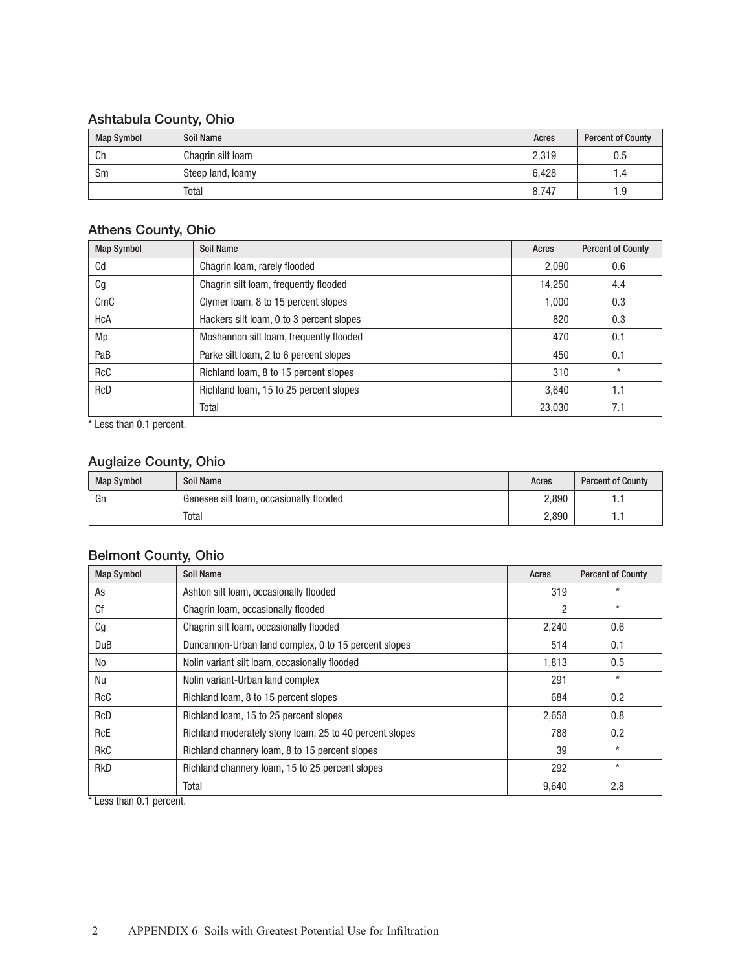# Ashtabula County, Ohio

| <b>Map Symbol</b> | Soil Name         | Acres | <b>Percent of County</b> |
|-------------------|-------------------|-------|--------------------------|
| Ch                | Chagrin silt loam | 2,319 | 0.5                      |
| Sm                | Steep land, loamy | 6.428 | 4.،                      |
|                   | Total             | 8.747 | 9. ا                     |

#### Athens County, Ohio

| <b>Map Symbol</b> | Soil Name                                | Acres  | <b>Percent of County</b> |
|-------------------|------------------------------------------|--------|--------------------------|
| Cd                | Chagrin Ioam, rarely flooded             | 2,090  | 0.6                      |
| Сg                | Chagrin silt loam, frequently flooded    | 14,250 | 4.4                      |
| CmC               | Clymer Ioam, 8 to 15 percent slopes      | 1,000  | 0.3                      |
| HcA               | Hackers silt loam, 0 to 3 percent slopes | 820    | 0.3                      |
| Mp                | Moshannon silt loam, frequently flooded  | 470    | 0.1                      |
| PaB               | Parke silt loam, 2 to 6 percent slopes   | 450    | 0.1                      |
| <b>RcC</b>        | Richland Ioam, 8 to 15 percent slopes    | 310    | $\star$                  |
| <b>RcD</b>        | Richland Ioam, 15 to 25 percent slopes   | 3.640  | 1.1                      |
|                   | Total                                    | 23,030 | 7.1                      |

\* Less than 0.1 percent.

# Auglaize County, Ohio

| <b>Map Symbol</b> | Soil Name                               | Acres | <b>Percent of County</b> |
|-------------------|-----------------------------------------|-------|--------------------------|
| Gn                | Genesee silt loam, occasionally flooded | 2,890 | .                        |
|                   | Total                                   | 2,890 | .                        |

# Belmont County, Ohio

| <b>Map Symbol</b> | <b>Soil Name</b>                                        | Acres | <b>Percent of County</b> |
|-------------------|---------------------------------------------------------|-------|--------------------------|
| As                | Ashton silt loam, occasionally flooded                  | 319   | $\star$                  |
| Cf                | Chagrin Ioam, occasionally flooded                      | 2     | $\star$                  |
| Cg                | Chagrin silt loam, occasionally flooded                 | 2,240 | 0.6                      |
| DuB               | Duncannon-Urban land complex, 0 to 15 percent slopes    | 514   | 0.1                      |
| No                | Nolin variant silt loam, occasionally flooded           | 1.813 | 0.5                      |
| Nu                | Nolin variant-Urban land complex                        | 291   | $\star$                  |
| <b>RcC</b>        | Richland Ioam, 8 to 15 percent slopes                   | 684   | 0.2                      |
| RcD               | Richland Ioam, 15 to 25 percent slopes                  | 2,658 | 0.8                      |
| <b>RcE</b>        | Richland moderately stony loam, 25 to 40 percent slopes | 788   | 0.2                      |
| <b>RkC</b>        | Richland channery loam, 8 to 15 percent slopes          | 39    | $\star$                  |
| <b>RkD</b>        | Richland channery loam, 15 to 25 percent slopes         | 292   | $\star$                  |
|                   | Total                                                   | 9,640 | 2.8                      |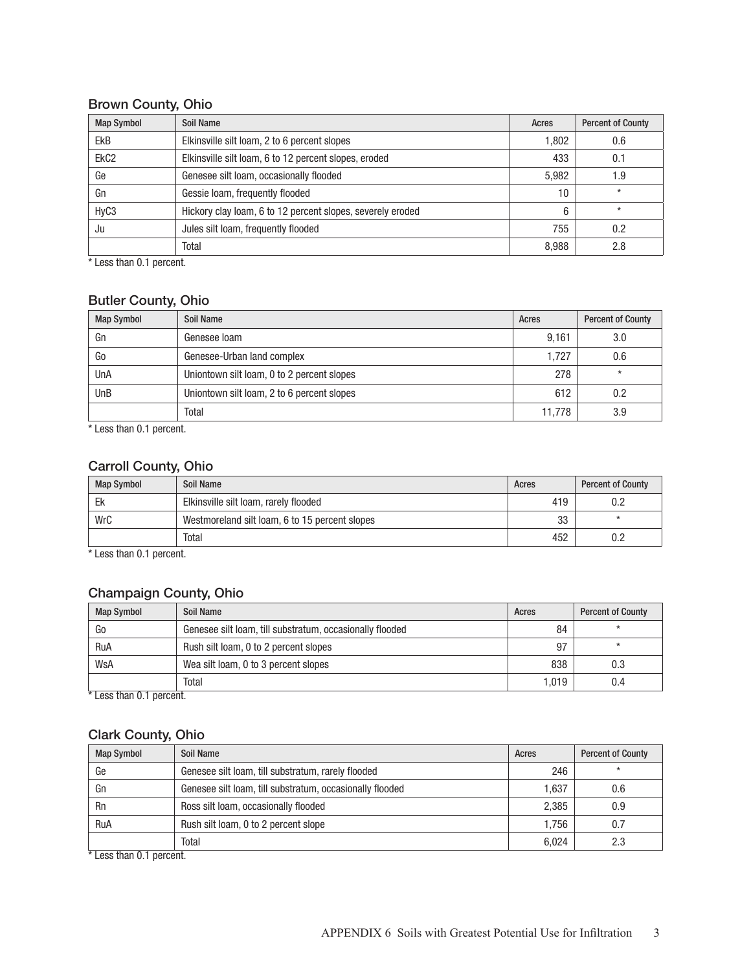# Brown County, Ohio

| <b>Map Symbol</b> | Soil Name                                                  | Acres | <b>Percent of County</b> |
|-------------------|------------------------------------------------------------|-------|--------------------------|
| <b>EkB</b>        | Elkinsville silt loam, 2 to 6 percent slopes               | 1.802 | 0.6                      |
| EkC <sub>2</sub>  | Elkinsville silt loam, 6 to 12 percent slopes, eroded      | 433   | 0.1                      |
| Ge                | Genesee silt loam, occasionally flooded                    | 5,982 | .9                       |
| Gn                | Gessie Ioam, frequently flooded                            | 10    | $\star$                  |
| HyC <sub>3</sub>  | Hickory clay loam, 6 to 12 percent slopes, severely eroded | 6     | $\star$                  |
| Ju                | Jules silt loam, frequently flooded                        | 755   | 0.2                      |
|                   | Total                                                      | 8,988 | 2.8                      |

\* Less than 0.1 percent.

# Butler County, Ohio

| <b>Map Symbol</b> | Soil Name                                  | Acres  | <b>Percent of County</b> |
|-------------------|--------------------------------------------|--------|--------------------------|
| Gn                | Genesee loam                               | 9.161  | 3.0                      |
| Go                | Genesee-Urban land complex                 | 1.727  | 0.6                      |
| UnA               | Uniontown silt loam, 0 to 2 percent slopes | 278    | $\star$                  |
| UnB               | Uniontown silt loam, 2 to 6 percent slopes | 612    | 0.2                      |
|                   | Total                                      | 11.778 | 3.9                      |

\* Less than 0.1 percent.

# Carroll County, Ohio

| <b>Map Symbol</b> | Soil Name                                      | Acres | <b>Percent of County</b> |
|-------------------|------------------------------------------------|-------|--------------------------|
| Ek                | Elkinsville silt loam, rarely flooded          | 419   |                          |
| WrC               | Westmoreland silt loam, 6 to 15 percent slopes | 33    |                          |
|                   | Total                                          | 452   | ◡.८                      |

\* Less than 0.1 percent.

### Champaign County, Ohio

| <b>Map Symbol</b> | Soil Name                                                | Acres | <b>Percent of County</b> |
|-------------------|----------------------------------------------------------|-------|--------------------------|
| Go                | Genesee silt loam, till substratum, occasionally flooded | 84    |                          |
| RuA               | Rush silt loam, 0 to 2 percent slopes                    | 97    |                          |
| WsA               | Wea silt loam, 0 to 3 percent slopes                     | 838   | 0.3                      |
|                   | Total                                                    | 1.019 | 0.4                      |

\* Less than 0.1 percent.

#### Clark County, Ohio

| <b>Map Symbol</b>                     | Soil Name                                                | Acres | <b>Percent of County</b> |
|---------------------------------------|----------------------------------------------------------|-------|--------------------------|
| Ge                                    | Genesee silt loam, till substratum, rarely flooded       | 246   |                          |
| Gn                                    | Genesee silt loam, till substratum, occasionally flooded | 1.637 | 0.6                      |
| Rn                                    | Ross silt loam, occasionally flooded                     | 2,385 | 0.9                      |
| RuA                                   | Rush silt loam, 0 to 2 percent slope                     | 1,756 |                          |
| $*1$ and there $\bigcap$ is a second. | Total                                                    | 6,024 | 2.3                      |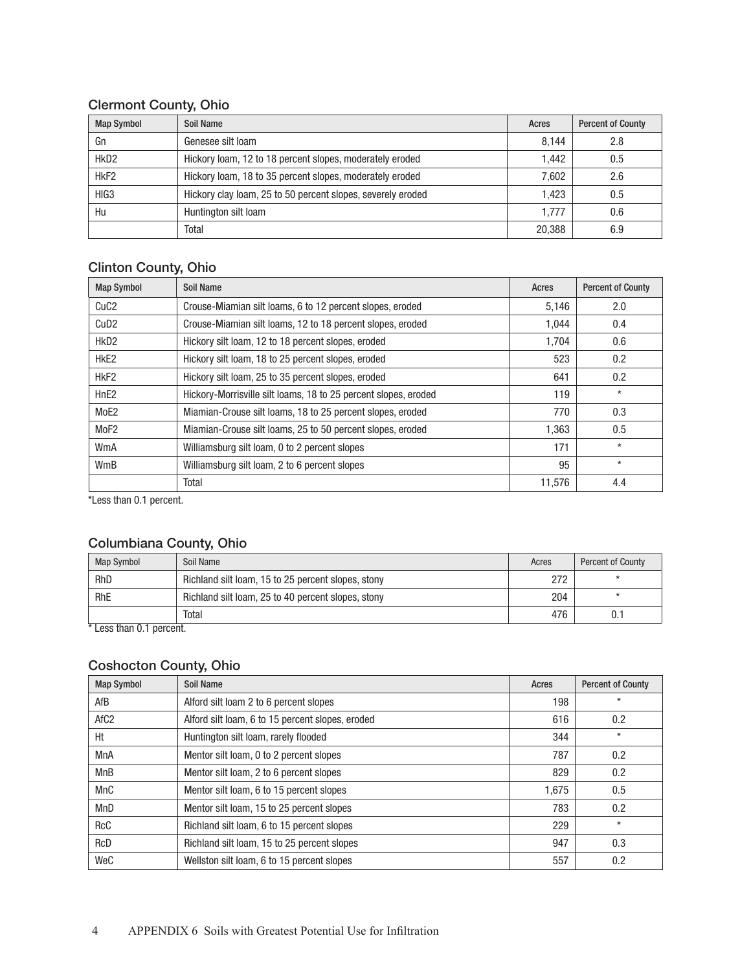### Clermont County, Ohio

| <b>Map Symbol</b> | Soil Name                                                   | Acres  | <b>Percent of County</b> |
|-------------------|-------------------------------------------------------------|--------|--------------------------|
| Gn                | Genesee silt loam                                           | 8.144  | 2.8                      |
| HkD <sub>2</sub>  | Hickory Ioam, 12 to 18 percent slopes, moderately eroded    | 1.442  | 0.5                      |
| HkF <sub>2</sub>  | Hickory Ioam, 18 to 35 percent slopes, moderately eroded    | 7.602  | 2.6                      |
| HIG <sub>3</sub>  | Hickory clay loam, 25 to 50 percent slopes, severely eroded | 1.423  | 0.5                      |
| Hu                | Huntington silt loam                                        | 1.777  | 0.6                      |
|                   | Total                                                       | 20,388 | 6.9                      |

# Clinton County, Ohio

| <b>Map Symbol</b> | Soil Name                                                       | Acres  | <b>Percent of County</b> |
|-------------------|-----------------------------------------------------------------|--------|--------------------------|
| CuC <sub>2</sub>  | Crouse-Miamian silt loams, 6 to 12 percent slopes, eroded       | 5,146  | 2.0                      |
| Cu <sub>D2</sub>  | Crouse-Miamian silt loams, 12 to 18 percent slopes, eroded      | 1,044  | 0.4                      |
| HkD <sub>2</sub>  | Hickory silt loam, 12 to 18 percent slopes, eroded              | 1.704  | 0.6                      |
| HkE <sub>2</sub>  | Hickory silt loam, 18 to 25 percent slopes, eroded              | 523    | 0.2                      |
| HkF <sub>2</sub>  | Hickory silt loam, 25 to 35 percent slopes, eroded              | 641    | 0.2                      |
| HnE <sub>2</sub>  | Hickory-Morrisville silt loams, 18 to 25 percent slopes, eroded | 119    | $\star$                  |
| MoE2              | Miamian-Crouse silt loams, 18 to 25 percent slopes, eroded      | 770    | 0.3                      |
| MoF <sub>2</sub>  | Miamian-Crouse silt loams, 25 to 50 percent slopes, eroded      | 1,363  | 0.5                      |
| WmA               | Williamsburg silt loam, 0 to 2 percent slopes                   | 171    | $\star$                  |
| WmB               | Williamsburg silt loam, 2 to 6 percent slopes                   | 95     | $\star$                  |
|                   | Total                                                           | 11,576 | 4.4                      |

\*Less than 0.1 percent.

# Columbiana County, Ohio

| Map Symbol                     | Soil Name                                          | Acres | <b>Percent of County</b> |
|--------------------------------|----------------------------------------------------|-------|--------------------------|
| RhD                            | Richland silt loam, 15 to 25 percent slopes, stony | 272   |                          |
| RhE                            | Richland silt loam, 25 to 40 percent slopes, stony | 204   |                          |
| $-\cdot$<br>$\cdots$<br>$\sim$ | Total                                              | 476   |                          |

\* Less than 0.1 percent.

# Coshocton County, Ohio

| <b>Map Symbol</b> | Soil Name                                        | Acres | <b>Percent of County</b> |
|-------------------|--------------------------------------------------|-------|--------------------------|
| AfB               | Alford silt loam 2 to 6 percent slopes           | 198   | $\star$                  |
| AfC <sub>2</sub>  | Alford silt loam, 6 to 15 percent slopes, eroded | 616   | 0.2                      |
| Ht                | Huntington silt loam, rarely flooded             | 344   | $\star$                  |
| <b>MnA</b>        | Mentor silt loam, 0 to 2 percent slopes          | 787   | 0.2                      |
| <b>MnB</b>        | Mentor silt loam, 2 to 6 percent slopes          | 829   | 0.2                      |
| MnC               | Mentor silt loam, 6 to 15 percent slopes         | 1.675 | 0.5                      |
| MnD               | Mentor silt loam, 15 to 25 percent slopes        | 783   | 0.2                      |
| <b>RcC</b>        | Richland silt loam, 6 to 15 percent slopes       | 229   | $\star$                  |
| <b>RcD</b>        | Richland silt loam, 15 to 25 percent slopes      | 947   | 0.3                      |
| WeC               | Wellston silt loam, 6 to 15 percent slopes       | 557   | 0.2                      |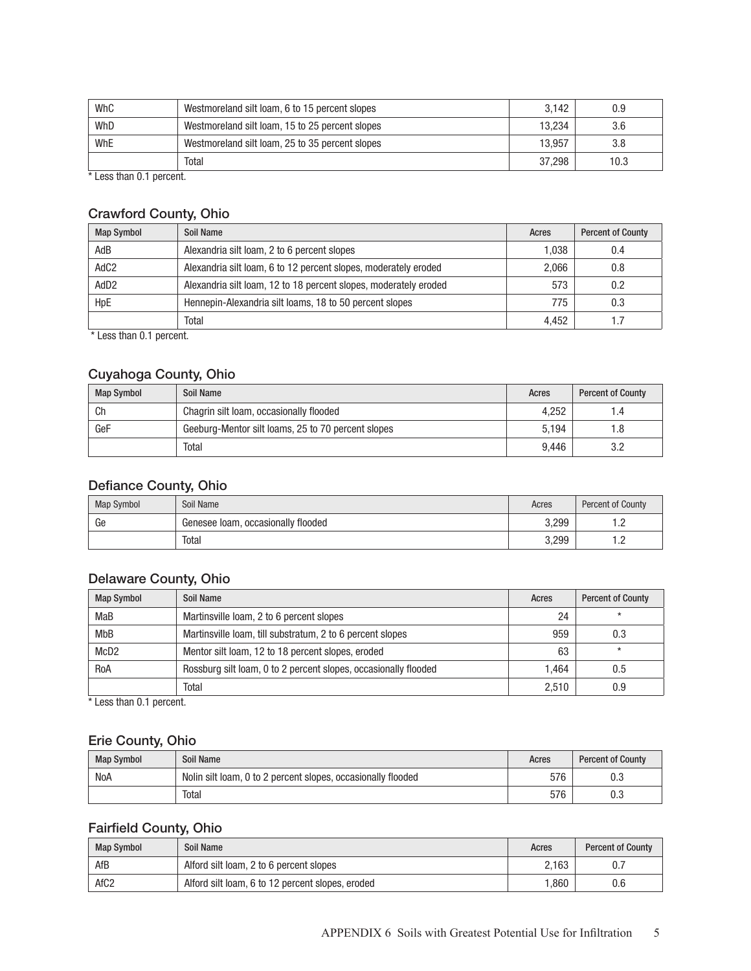| WhC | Westmoreland silt loam, 6 to 15 percent slopes  | 3.142  | 0.9  |
|-----|-------------------------------------------------|--------|------|
| WhD | Westmoreland silt loam, 15 to 25 percent slopes | 13.234 | 3.6  |
| WhE | Westmoreland silt loam, 25 to 35 percent slopes | 13.957 | 3.8  |
|     | Total                                           | 37.298 | 10.3 |

\* Less than 0.1 percent.

# Crawford County, Ohio

| <b>Map Symbol</b> | Soil Name                                                        | Acres | <b>Percent of County</b> |
|-------------------|------------------------------------------------------------------|-------|--------------------------|
| AdB               | Alexandria silt loam, 2 to 6 percent slopes                      | 1.038 | 0.4                      |
| AdC <sub>2</sub>  | Alexandria silt loam, 6 to 12 percent slopes, moderately eroded  | 2.066 | 0.8                      |
| AdD <sub>2</sub>  | Alexandria silt loam, 12 to 18 percent slopes, moderately eroded | 573   | 0.2                      |
| HpE               | Hennepin-Alexandria silt loams, 18 to 50 percent slopes          | 775   | 0.3                      |
|                   | Total                                                            | 4.452 |                          |

\* Less than 0.1 percent.

# Cuyahoga County, Ohio

| <b>Map Symbol</b> | Soil Name                                          | Acres | <b>Percent of County</b> |
|-------------------|----------------------------------------------------|-------|--------------------------|
| Ch                | Chagrin silt loam, occasionally flooded            | 4.252 |                          |
| GeF               | Geeburg-Mentor silt loams, 25 to 70 percent slopes | 5.194 |                          |
|                   | Total                                              | 9.446 |                          |

### Defiance County, Ohio

| <b>Map Symbol</b> | Soil Name                          | Acres | <b>Percent of County</b> |
|-------------------|------------------------------------|-------|--------------------------|
| Ge                | Genesee Ioam, occasionally flooded | 3.299 | .                        |
|                   | Total                              | 3,299 | .                        |

### Delaware County, Ohio

| <b>Map Symbol</b> | Soil Name                                                       | Acres | <b>Percent of County</b> |
|-------------------|-----------------------------------------------------------------|-------|--------------------------|
| MaB               | Martinsville Ioam, 2 to 6 percent slopes                        | 24    |                          |
| MbB               | Martinsville Ioam, till substratum, 2 to 6 percent slopes       | 959   | 0.3                      |
| McD2              | Mentor silt loam, 12 to 18 percent slopes, eroded               | 63    | $\star$                  |
| RoA               | Rossburg silt loam, 0 to 2 percent slopes, occasionally flooded | 1.464 | 0.5                      |
|                   | Total                                                           | 2.510 | 0.9                      |

\* Less than 0.1 percent.

### Erie County, Ohio

| <b>Map Symbol</b> | Soil Name                                                    | Acres | <b>Percent of County</b> |
|-------------------|--------------------------------------------------------------|-------|--------------------------|
| NoA               | Nolin silt loam, 0 to 2 percent slopes, occasionally flooded | 576   |                          |
|                   | Total                                                        | 576   | υ.υ                      |

# Fairfield County, Ohio

| <b>Map Symbol</b> | Soil Name                                        | Acres | <b>Percent of County</b> |
|-------------------|--------------------------------------------------|-------|--------------------------|
| AfB               | Alford silt loam, 2 to 6 percent slopes          | 2.163 | υ.                       |
| AfC <sub>2</sub>  | Alford silt loam, 6 to 12 percent slopes, eroded | .860  | 0.6                      |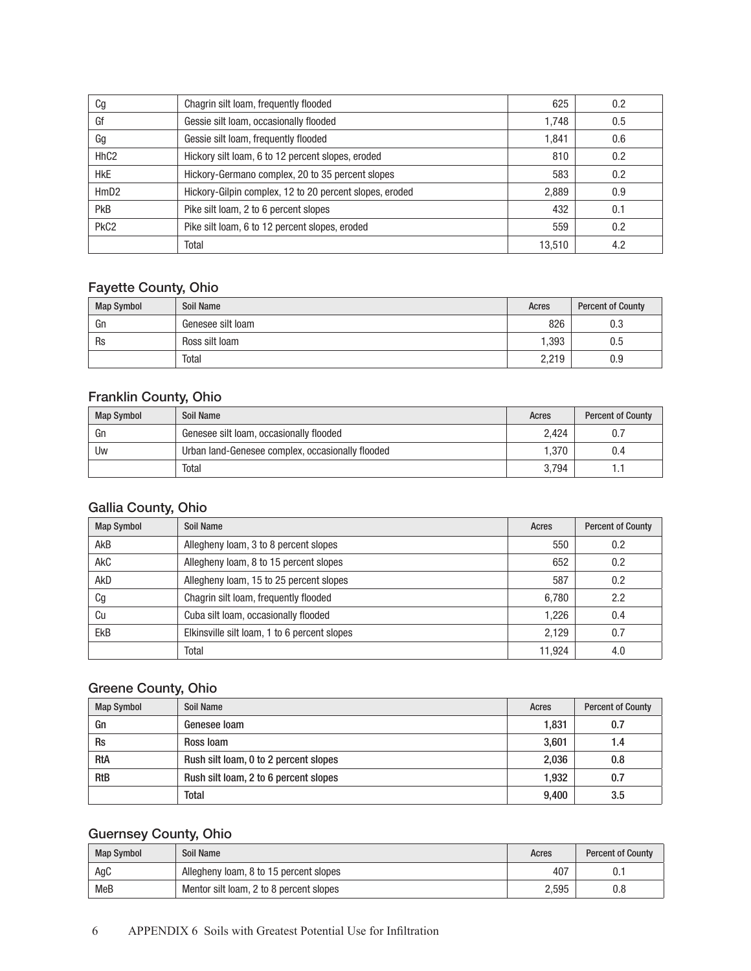| Cg               | Chagrin silt loam, frequently flooded                   | 625    | 0.2 |
|------------------|---------------------------------------------------------|--------|-----|
| Gf               | Gessie silt loam, occasionally flooded                  | 1,748  | 0.5 |
| Gg               | Gessie silt loam, frequently flooded                    | 1.841  | 0.6 |
| Hh <sub>C2</sub> | Hickory silt loam, 6 to 12 percent slopes, eroded       | 810    | 0.2 |
| <b>HkE</b>       | Hickory-Germano complex, 20 to 35 percent slopes        | 583    | 0.2 |
| HmD <sub>2</sub> | Hickory-Gilpin complex, 12 to 20 percent slopes, eroded | 2,889  | 0.9 |
| <b>PkB</b>       | Pike silt loam, 2 to 6 percent slopes                   | 432    | 0.1 |
| PkC <sub>2</sub> | Pike silt loam, 6 to 12 percent slopes, eroded          | 559    | 0.2 |
|                  | Total                                                   | 13,510 | 4.2 |

# Fayette County, Ohio

| <b>Map Symbol</b> | Soil Name         | Acres | <b>Percent of County</b> |
|-------------------|-------------------|-------|--------------------------|
| Gn                | Genesee silt loam | 826   | 0.3                      |
| Rs                | Ross silt loam    | 1,393 | $0.5\,$                  |
|                   | <b>Total</b>      | 2,219 | 0.9                      |

#### Franklin County, Ohio

| <b>Map Symbol</b> | Soil Name                                        | Acres | <b>Percent of County</b> |
|-------------------|--------------------------------------------------|-------|--------------------------|
| Gn                | Genesee silt loam, occasionally flooded          | 2.424 |                          |
| Uw                | Urban land-Genesee complex, occasionally flooded | 1.370 | 0.4                      |
|                   | Total                                            | 3.794 |                          |

# Gallia County, Ohio

| <b>Map Symbol</b> | Soil Name                                    | Acres  | <b>Percent of County</b> |
|-------------------|----------------------------------------------|--------|--------------------------|
| AkB               | Allegheny loam, 3 to 8 percent slopes        | 550    | 0.2                      |
| AkC               | Allegheny loam, 8 to 15 percent slopes       | 652    | 0.2                      |
| AkD               | Allegheny Ioam, 15 to 25 percent slopes      | 587    | 0.2                      |
| Cg                | Chagrin silt loam, frequently flooded        | 6,780  | 2.2                      |
| Cu                | Cuba silt loam, occasionally flooded         | 1,226  | 0.4                      |
| <b>EkB</b>        | Elkinsville silt loam, 1 to 6 percent slopes | 2.129  | 0.7                      |
|                   | Total                                        | 11.924 | 4.0                      |

# Greene County, Ohio

| <b>Map Symbol</b> | Soil Name                             | Acres | <b>Percent of County</b> |
|-------------------|---------------------------------------|-------|--------------------------|
| Gn                | Genesee loam                          | 1.831 | 0.7                      |
| <b>Rs</b>         | Ross Ioam                             | 3,601 | 1.4                      |
| <b>RtA</b>        | Rush silt loam, 0 to 2 percent slopes | 2,036 | 0.8                      |
| <b>RtB</b>        | Rush silt loam, 2 to 6 percent slopes | 1.932 | 0.7                      |
|                   | Total                                 | 9,400 | 3.5                      |

# Guernsey County, Ohio

| <b>Map Symbol</b> | Soil Name                               | Acres | <b>Percent of County</b> |
|-------------------|-----------------------------------------|-------|--------------------------|
| AgC               | Allegheny loam, 8 to 15 percent slopes  | 407   | ◡.                       |
| MeB               | Mentor silt loam, 2 to 8 percent slopes | 2.595 | 0.8                      |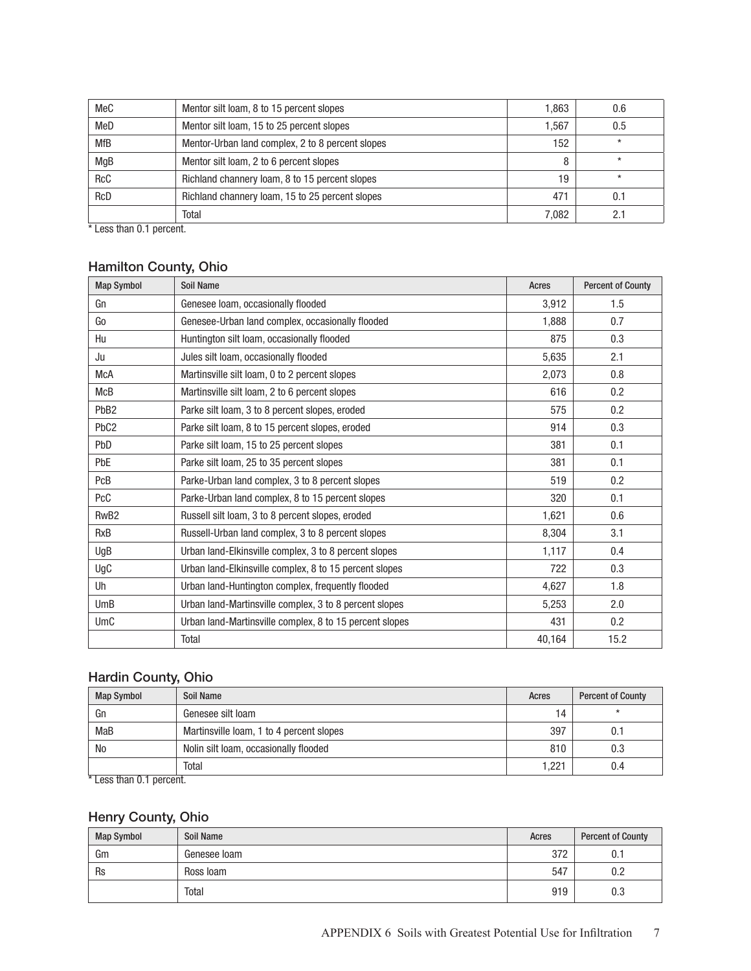| MeC        | Mentor silt loam, 8 to 15 percent slopes         | 1.863 | 0.6     |
|------------|--------------------------------------------------|-------|---------|
| MeD        | Mentor silt loam, 15 to 25 percent slopes        | 1.567 | 0.5     |
| <b>MfB</b> | Mentor-Urban land complex, 2 to 8 percent slopes | 152   | $\star$ |
| MgB        | Mentor silt loam, 2 to 6 percent slopes          | 8     | $\star$ |
| <b>RcC</b> | Richland channery loam, 8 to 15 percent slopes   | 19    | $\star$ |
| <b>RcD</b> | Richland channery loam, 15 to 25 percent slopes  | 471   | 0.1     |
|            | Total                                            | 7,082 |         |

\* Less than 0.1 percent.

# Hamilton County, Ohio

| <b>Map Symbol</b> | <b>Soil Name</b>                                        | Acres  | <b>Percent of County</b> |
|-------------------|---------------------------------------------------------|--------|--------------------------|
| Gn                | Genesee Ioam, occasionally flooded                      | 3,912  | 1.5                      |
| Go                | Genesee-Urban land complex, occasionally flooded        | 1,888  | 0.7                      |
| Hu                | Huntington silt loam, occasionally flooded              | 875    | 0.3                      |
| Ju                | Jules silt loam, occasionally flooded                   | 5,635  | 2.1                      |
| <b>McA</b>        | Martinsville silt loam, 0 to 2 percent slopes           | 2,073  | 0.8                      |
| McB               | Martinsville silt loam, 2 to 6 percent slopes           | 616    | 0.2                      |
| PbB <sub>2</sub>  | Parke silt loam, 3 to 8 percent slopes, eroded          | 575    | 0.2                      |
| PbC <sub>2</sub>  | Parke silt loam, 8 to 15 percent slopes, eroded         | 914    | 0.3                      |
| PbD               | Parke silt loam, 15 to 25 percent slopes                | 381    | 0.1                      |
| <b>PbE</b>        | Parke silt loam, 25 to 35 percent slopes                | 381    | 0.1                      |
| PcB               | Parke-Urban land complex, 3 to 8 percent slopes         | 519    | 0.2                      |
| PcC               | Parke-Urban land complex, 8 to 15 percent slopes        | 320    | 0.1                      |
| Rw <sub>B2</sub>  | Russell silt loam, 3 to 8 percent slopes, eroded        | 1,621  | 0.6                      |
| <b>RxB</b>        | Russell-Urban land complex, 3 to 8 percent slopes       | 8,304  | 3.1                      |
| UgB               | Urban land-Elkinsville complex, 3 to 8 percent slopes   | 1,117  | 0.4                      |
| UgC               | Urban land-Elkinsville complex, 8 to 15 percent slopes  | 722    | 0.3                      |
| Uh                | Urban land-Huntington complex, frequently flooded       | 4,627  | 1.8                      |
| UmB               | Urban land-Martinsville complex, 3 to 8 percent slopes  | 5,253  | 2.0                      |
| UmC               | Urban land-Martinsville complex, 8 to 15 percent slopes | 431    | 0.2                      |
|                   | Total                                                   | 40,164 | 15.2                     |

# Hardin County, Ohio

| <b>Map Symbol</b>         | Soil Name                                | Acres | <b>Percent of County</b> |
|---------------------------|------------------------------------------|-------|--------------------------|
| Gn                        | Genesee silt loam                        | 14    |                          |
| MaB                       | Martinsville Ioam, 1 to 4 percent slopes | 397   |                          |
| No                        | Nolin silt loam, occasionally flooded    | 810   | 0.3                      |
|                           | Total                                    | 1.221 | 0.4                      |
| $*$ Less than 0.1 nerrent |                                          |       |                          |

Less than 0.1 percent.

# Henry County, Ohio

| <b>Map Symbol</b> | Soil Name    | Acres | <b>Percent of County</b> |
|-------------------|--------------|-------|--------------------------|
| Gm                | Genesee loam | 372   | U.I                      |
| Rs                | Ross Ioam    | 547   | በ ጋ<br>v.z               |
|                   | Total        | 919   | 0.3                      |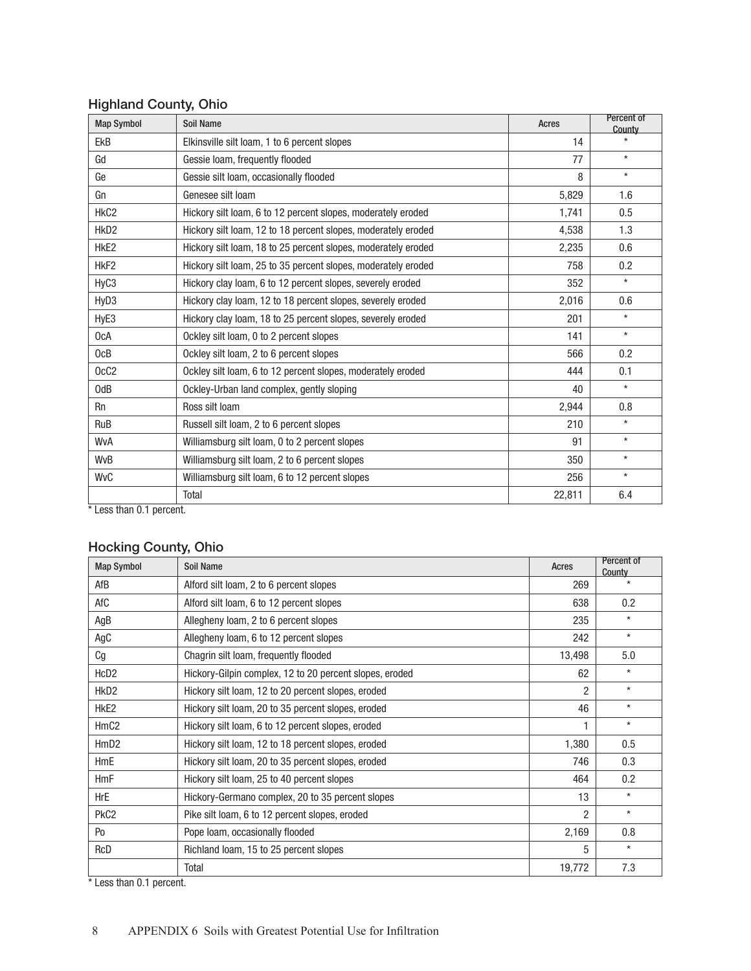| <b>Map Symbol</b> | <b>Soil Name</b>                                              | Acres  | Percent of<br>County |
|-------------------|---------------------------------------------------------------|--------|----------------------|
| <b>EkB</b>        | Elkinsville silt loam, 1 to 6 percent slopes                  | 14     | $\star$              |
| Gd                | Gessie loam, frequently flooded                               | 77     | $\star$              |
| Ge                | Gessie silt loam, occasionally flooded                        | 8      | $\star$              |
| Gn                | Genesee silt loam                                             | 5,829  | 1.6                  |
| HkC <sub>2</sub>  | Hickory silt loam, 6 to 12 percent slopes, moderately eroded  | 1,741  | 0.5                  |
| HkD <sub>2</sub>  | Hickory silt loam, 12 to 18 percent slopes, moderately eroded | 4,538  | 1.3                  |
| HkE <sub>2</sub>  | Hickory silt loam, 18 to 25 percent slopes, moderately eroded | 2,235  | 0.6                  |
| HkF <sub>2</sub>  | Hickory silt loam, 25 to 35 percent slopes, moderately eroded | 758    | 0.2                  |
| HyC3              | Hickory clay loam, 6 to 12 percent slopes, severely eroded    | 352    | $\star$              |
| HyD <sub>3</sub>  | Hickory clay loam, 12 to 18 percent slopes, severely eroded   | 2,016  | 0.6                  |
| HyE3              | Hickory clay loam, 18 to 25 percent slopes, severely eroded   | 201    | $\star$              |
| 0cA               | Ockley silt loam, 0 to 2 percent slopes                       | 141    | $\star$              |
| OCB               | Ockley silt loam, 2 to 6 percent slopes                       | 566    | 0.2                  |
| OcC <sub>2</sub>  | Ockley silt loam, 6 to 12 percent slopes, moderately eroded   | 444    | 0.1                  |
| 0 <sub>dB</sub>   | Ockley-Urban land complex, gently sloping                     | 40     | $\star$              |
| <b>Rn</b>         | Ross silt loam                                                | 2,944  | 0.8                  |
| <b>RuB</b>        | Russell silt loam, 2 to 6 percent slopes                      | 210    | $\star$              |
| WvA               | Williamsburg silt loam, 0 to 2 percent slopes                 | 91     | $\star$              |
| <b>WvB</b>        | Williamsburg silt loam, 2 to 6 percent slopes                 | 350    | $\star$              |
| <b>WvC</b>        | Williamsburg silt loam, 6 to 12 percent slopes                | 256    | $\star$              |
|                   | Total                                                         | 22,811 | 6.4                  |

### Highland County, Ohio

\* Less than 0.1 percent.

# Hocking County, Ohio

| <b>Map Symbol</b> | Soil Name                                               | Acres          | Percent of<br>County |
|-------------------|---------------------------------------------------------|----------------|----------------------|
| AfB               | Alford silt loam, 2 to 6 percent slopes                 | 269            | $\star$              |
| AfC               | Alford silt loam, 6 to 12 percent slopes                | 638            | 0.2                  |
| AgB               | Allegheny loam, 2 to 6 percent slopes                   | 235            | $\star$              |
| AgC               | Allegheny Ioam, 6 to 12 percent slopes                  | 242            | $\star$              |
| Cg                | Chagrin silt loam, frequently flooded                   | 13,498         | 5.0                  |
| HcD <sub>2</sub>  | Hickory-Gilpin complex, 12 to 20 percent slopes, eroded | 62             | $^\star$             |
| HkD <sub>2</sub>  | Hickory silt loam, 12 to 20 percent slopes, eroded      | $\overline{2}$ | $^\star$             |
| HkE <sub>2</sub>  | Hickory silt loam, 20 to 35 percent slopes, eroded      | 46             | $^\star$             |
| HmC <sub>2</sub>  | Hickory silt loam, 6 to 12 percent slopes, eroded       |                | $^\star$             |
| HmD2              | Hickory silt loam, 12 to 18 percent slopes, eroded      | 1,380          | 0.5                  |
| <b>HmE</b>        | Hickory silt loam, 20 to 35 percent slopes, eroded      | 746            | 0.3                  |
| <b>HmF</b>        | Hickory silt loam, 25 to 40 percent slopes              | 464            | 0.2                  |
| HrE               | Hickory-Germano complex, 20 to 35 percent slopes        | 13             | $^\star$             |
| PkC <sub>2</sub>  | Pike silt loam, 6 to 12 percent slopes, eroded          | $\overline{2}$ | $^\star$             |
| P <sub>0</sub>    | Pope Ioam, occasionally flooded                         | 2,169          | 0.8                  |
| RcD               | Richland Ioam, 15 to 25 percent slopes                  | 5              | $^\star$             |
|                   | Total                                                   | 19,772         | 7.3                  |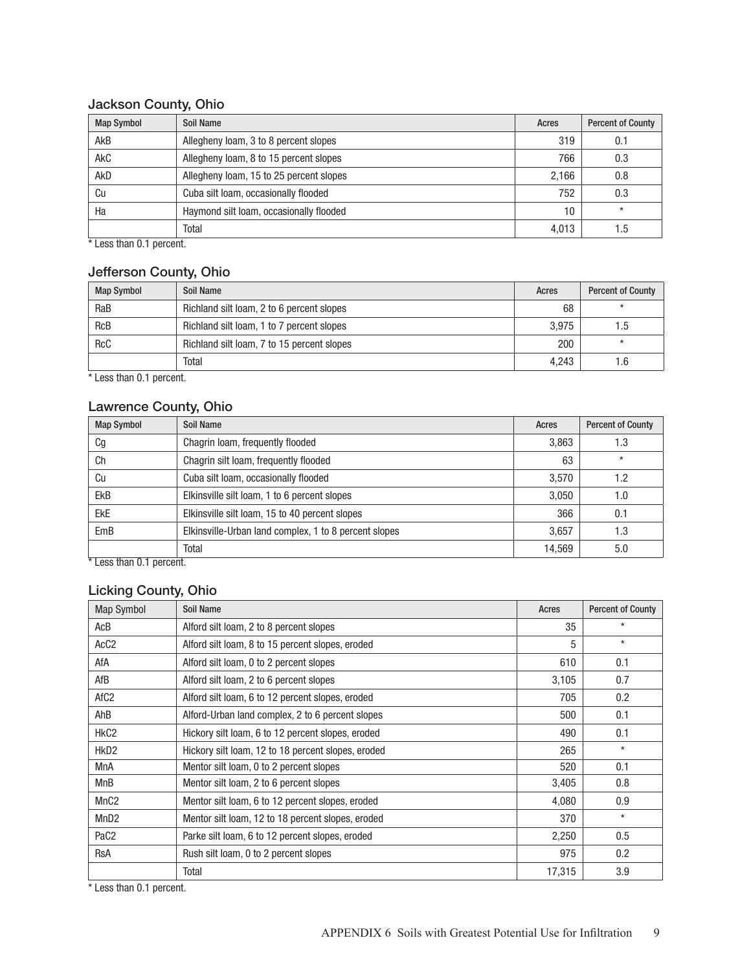# Jackson County, Ohio

| <b>Map Symbol</b> | Soil Name                               | Acres | <b>Percent of County</b> |
|-------------------|-----------------------------------------|-------|--------------------------|
| AkB               | Allegheny Ioam, 3 to 8 percent slopes   | 319   | $0.1\,$                  |
| <b>AkC</b>        | Allegheny loam, 8 to 15 percent slopes  | 766   | 0.3                      |
| AkD               | Allegheny loam, 15 to 25 percent slopes | 2,166 | 0.8                      |
| Cu                | Cuba silt loam, occasionally flooded    | 752   | 0.3                      |
| Ha                | Haymond silt loam, occasionally flooded | 10    | $\star$                  |
|                   | Total                                   | 4.013 | 1.5                      |

\* Less than 0.1 percent.

#### Jefferson County, Ohio

| <b>Map Symbol</b> | Soil Name                                  | Acres | <b>Percent of County</b> |
|-------------------|--------------------------------------------|-------|--------------------------|
| RaB               | Richland silt loam, 2 to 6 percent slopes  | 68    | $\star$                  |
| <b>RcB</b>        | Richland silt loam, 1 to 7 percent slopes  | 3.975 | 1.5                      |
| <b>RcC</b>        | Richland silt loam, 7 to 15 percent slopes | 200   | $\star$                  |
|                   | Total                                      | 4.243 | 1.6                      |

\* Less than 0.1 percent.

#### Lawrence County, Ohio

| <b>Map Symbol</b>      | Soil Name                                             | Acres  | <b>Percent of County</b> |
|------------------------|-------------------------------------------------------|--------|--------------------------|
| Сg                     | Chagrin Ioam, frequently flooded                      | 3,863  | 1.3                      |
| Ch                     | Chagrin silt loam, frequently flooded                 | 63     | $\star$                  |
| Cu                     | Cuba silt loam, occasionally flooded                  | 3,570  | 1.2                      |
| <b>EkB</b>             | Elkinsville silt loam, 1 to 6 percent slopes          | 3,050  | 1.0                      |
| <b>EkE</b>             | Elkinsville silt loam, 15 to 40 percent slopes        | 366    | 0.1                      |
| EmB                    | Elkinsville-Urban land complex, 1 to 8 percent slopes | 3,657  | 1.3                      |
|                        | Total                                                 | 14,569 | 5.0                      |
| Less than 0.1 percent. |                                                       |        |                          |

# Licking County, Ohio

| Map Symbol       | Soil Name                                          | Acres  | <b>Percent of County</b> |
|------------------|----------------------------------------------------|--------|--------------------------|
| AcB              | Alford silt loam, 2 to 8 percent slopes            | 35     | $\star$                  |
| AcC <sub>2</sub> | Alford silt loam, 8 to 15 percent slopes, eroded   | 5      | $\star$                  |
| AfA              | Alford silt loam, 0 to 2 percent slopes            | 610    | 0.1                      |
| AfB              | Alford silt loam, 2 to 6 percent slopes            | 3,105  | 0.7                      |
| AfC <sub>2</sub> | Alford silt loam, 6 to 12 percent slopes, eroded   | 705    | 0.2                      |
| AhB              | Alford-Urban land complex, 2 to 6 percent slopes   | 500    | 0.1                      |
| HkC <sub>2</sub> | Hickory silt loam, 6 to 12 percent slopes, eroded  | 490    | 0.1                      |
| HkD <sub>2</sub> | Hickory silt loam, 12 to 18 percent slopes, eroded | 265    | $\star$                  |
| MnA              | Mentor silt loam, 0 to 2 percent slopes            | 520    | 0.1                      |
| MnB              | Mentor silt loam, 2 to 6 percent slopes            | 3,405  | 0.8                      |
| MnC <sub>2</sub> | Mentor silt loam, 6 to 12 percent slopes, eroded   | 4,080  | 0.9                      |
| MnD <sub>2</sub> | Mentor silt loam, 12 to 18 percent slopes, eroded  | 370    | $\star$                  |
| PaC <sub>2</sub> | Parke silt loam, 6 to 12 percent slopes, eroded    | 2,250  | 0.5                      |
| <b>RsA</b>       | Rush silt loam, 0 to 2 percent slopes              | 975    | 0.2                      |
|                  | Total                                              | 17,315 | 3.9                      |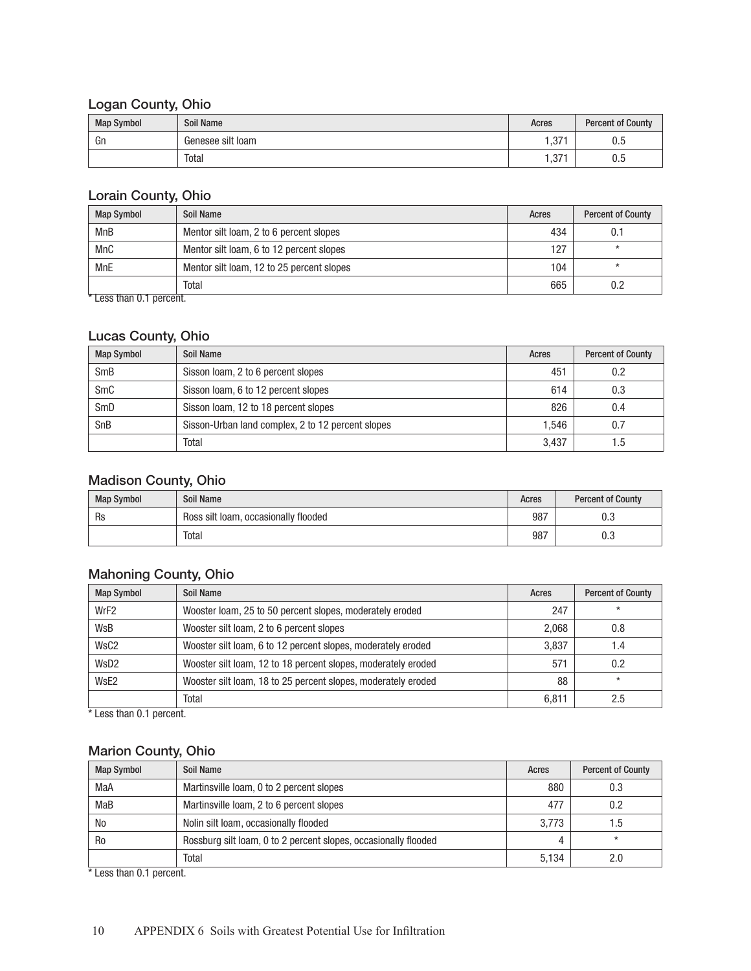#### Logan County, Ohio

| <b>Map Symbol</b> | Soil Name         | Acres       | <b>Percent of County</b> |
|-------------------|-------------------|-------------|--------------------------|
| Gn                | Genesee silt loam | -271<br>، ن | U.J                      |
|                   | Total             | 0.74<br>، ن | υ.υ                      |

#### Lorain County, Ohio

| <b>Map Symbol</b> | Soil Name                                 | Acres | <b>Percent of County</b> |
|-------------------|-------------------------------------------|-------|--------------------------|
| <b>MnB</b>        | Mentor silt loam, 2 to 6 percent slopes   | 434   |                          |
| <b>MnC</b>        | Mentor silt loam, 6 to 12 percent slopes  | 127   |                          |
| <b>MnE</b>        | Mentor silt loam, 12 to 25 percent slopes | 104   |                          |
|                   | Total                                     | 665   |                          |

\* Less than 0.1 percent.

# Lucas County, Ohio

| <b>Map Symbol</b> | Soil Name                                         | Acres | <b>Percent of County</b> |
|-------------------|---------------------------------------------------|-------|--------------------------|
| <b>SmB</b>        | Sisson Ioam, 2 to 6 percent slopes                | 451   | 0.2                      |
| SmC               | Sisson Ioam, 6 to 12 percent slopes               | 614   | 0.3                      |
| SmD               | Sisson Ioam, 12 to 18 percent slopes              | 826   | 0.4                      |
| SnB               | Sisson-Urban land complex, 2 to 12 percent slopes | 1.546 | 0.7                      |
|                   | Total                                             | 3.437 | . .5                     |

#### Madison County, Ohio

| <b>Map Symbol</b> | Soil Name                            | Acres | <b>Percent of County</b> |
|-------------------|--------------------------------------|-------|--------------------------|
| Rs                | Ross silt loam, occasionally flooded | 987   | U.J                      |
|                   | Total                                | 987   | υ.ο                      |

### Mahoning County, Ohio

| <b>Map Symbol</b> | Soil Name                                                     | Acres | <b>Percent of County</b> |
|-------------------|---------------------------------------------------------------|-------|--------------------------|
| WrF <sub>2</sub>  | Wooster loam, 25 to 50 percent slopes, moderately eroded      | 247   |                          |
| WsB               | Wooster silt loam, 2 to 6 percent slopes                      | 2,068 | 0.8                      |
| WsC <sub>2</sub>  | Wooster silt loam, 6 to 12 percent slopes, moderately eroded  | 3.837 | 1.4                      |
| WsD2              | Wooster silt loam, 12 to 18 percent slopes, moderately eroded | 571   | 0.2                      |
| WsE <sub>2</sub>  | Wooster silt loam, 18 to 25 percent slopes, moderately eroded | 88    | $\star$                  |
|                   | Total                                                         | 6,811 | 2.5                      |

\* Less than 0.1 percent.

# Marion County, Ohio

| <b>Map Symbol</b> | Soil Name                                                       | Acres | <b>Percent of County</b> |
|-------------------|-----------------------------------------------------------------|-------|--------------------------|
| MaA               | Martinsville Ioam, 0 to 2 percent slopes                        | 880   | 0.3                      |
| MaB               | Martinsville Ioam, 2 to 6 percent slopes                        | 477   | 0.2                      |
| No                | Nolin silt loam, occasionally flooded                           | 3.773 | 1.5                      |
| R <sub>0</sub>    | Rossburg silt loam, 0 to 2 percent slopes, occasionally flooded |       | $\star$                  |
|                   | Total                                                           | 5,134 | 2.0                      |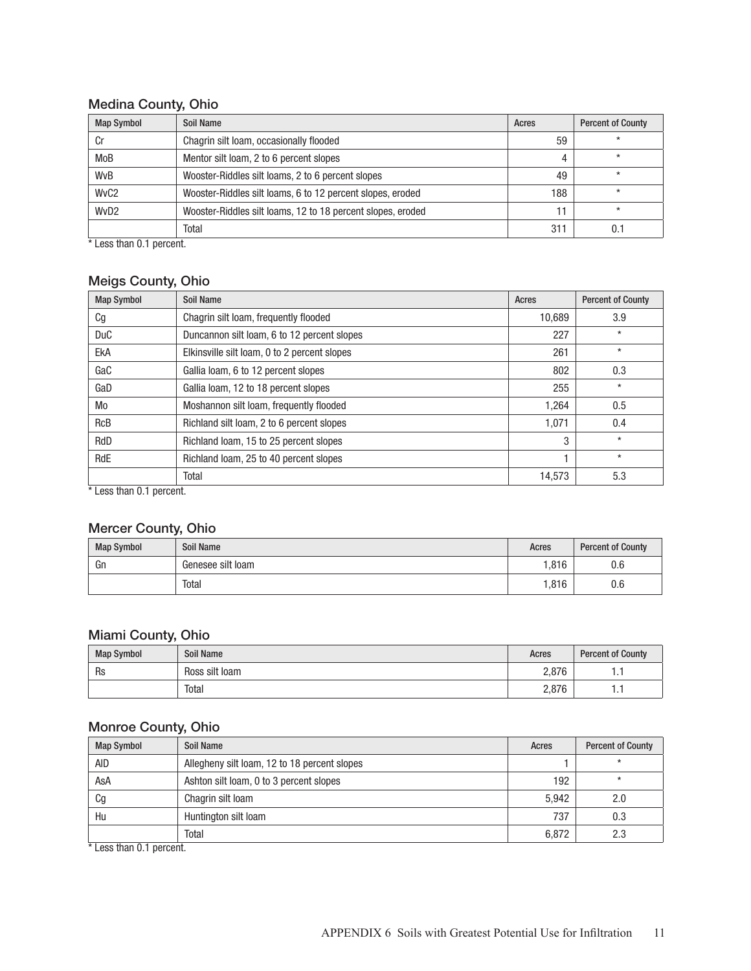# Medina County, Ohio

| <b>Map Symbol</b> | Soil Name                                                   | Acres | <b>Percent of County</b> |
|-------------------|-------------------------------------------------------------|-------|--------------------------|
| Cr                | Chagrin silt loam, occasionally flooded                     | 59    |                          |
| MoB               | Mentor silt loam, 2 to 6 percent slopes                     | 4     | $\star$                  |
| <b>WvB</b>        | Wooster-Riddles silt loams, 2 to 6 percent slopes           | 49    | $\star$                  |
| WvC <sub>2</sub>  | Wooster-Riddles silt loams, 6 to 12 percent slopes, eroded  | 188   | $\star$                  |
| WvD <sub>2</sub>  | Wooster-Riddles silt loams, 12 to 18 percent slopes, eroded | 11    | $\star$                  |
|                   | Total                                                       | 311   | $0$ .                    |

\* Less than 0.1 percent.

# Meigs County, Ohio

| <b>Map Symbol</b> | Soil Name                                    | Acres  | <b>Percent of County</b> |
|-------------------|----------------------------------------------|--------|--------------------------|
| Сg                | Chagrin silt loam, frequently flooded        | 10,689 | 3.9                      |
| <b>DuC</b>        | Duncannon silt loam, 6 to 12 percent slopes  | 227    | $\star$                  |
| EkA               | Elkinsville silt loam, 0 to 2 percent slopes | 261    | $\star$                  |
| GaC               | Gallia loam, 6 to 12 percent slopes          | 802    | 0.3                      |
| GaD               | Gallia loam, 12 to 18 percent slopes         | 255    | $\star$                  |
| Mo                | Moshannon silt loam, frequently flooded      | 1,264  | 0.5                      |
| <b>RcB</b>        | Richland silt loam, 2 to 6 percent slopes    | 1,071  | 0.4                      |
| RdD               | Richland Ioam, 15 to 25 percent slopes       | 3      | $\star$                  |
| RdE               | Richland Ioam, 25 to 40 percent slopes       |        | $\star$                  |
|                   | Total                                        | 14,573 | 5.3                      |

Less than 0.1 percent.

### Mercer County, Ohio

| <b>Map Symbol</b> | <b>Soil Name</b>  | Acres | <b>Percent of County</b> |
|-------------------|-------------------|-------|--------------------------|
| Gn                | Genesee silt loam | 1,816 | 0.6                      |
|                   | Total             | 1,816 | 0.6                      |

#### Miami County, Ohio

| <b>Map Symbol</b> | <b>Soil Name</b> | Acres | <b>Percent of County</b> |
|-------------------|------------------|-------|--------------------------|
| Rs                | Ross silt loam   | 2,876 | .                        |
|                   | Total            | 2,876 |                          |

### Monroe County, Ohio

| <b>Map Symbol</b> | Soil Name                                    | Acres | <b>Percent of County</b> |
|-------------------|----------------------------------------------|-------|--------------------------|
| AID               | Allegheny silt loam, 12 to 18 percent slopes |       | $\star$                  |
| AsA               | Ashton silt loam, 0 to 3 percent slopes      | 192   | $\ast$                   |
| Cg                | Chagrin silt loam                            | 5.942 | 2.0                      |
| Hu                | Huntington silt loam                         | 737   | 0.3                      |
|                   | Total                                        | 6,872 | 2.3                      |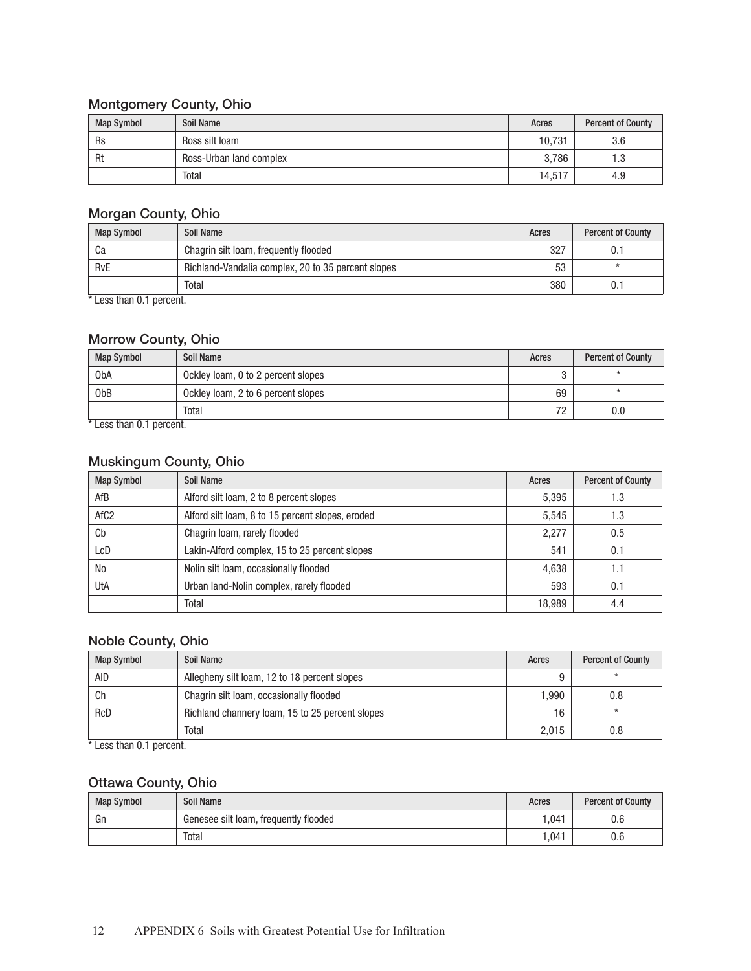# Montgomery County, Ohio

| <b>Map Symbol</b> | <b>Soil Name</b>        | Acres  | <b>Percent of County</b> |
|-------------------|-------------------------|--------|--------------------------|
| Rs                | Ross silt loam          | 10.731 | 3.6                      |
| Rt                | Ross-Urban land complex | 3.786  | 1.3                      |
|                   | Total                   | 14.517 | 4.9                      |

#### Morgan County, Ohio

| <b>Map Symbol</b> | Soil Name                                          | Acres | <b>Percent of County</b> |
|-------------------|----------------------------------------------------|-------|--------------------------|
| Ca                | Chagrin silt loam, frequently flooded              | 327   |                          |
| <b>RvE</b>        | Richland-Vandalia complex, 20 to 35 percent slopes | 53    |                          |
|                   | Total                                              | 380   |                          |

\* Less than 0.1 percent.

#### Morrow County, Ohio

| <b>Map Symbol</b>    | Soil Name                          | Acres | <b>Percent of County</b> |
|----------------------|------------------------------------|-------|--------------------------|
| 0 <sub>b</sub> A     | Ockley loam, 0 to 2 percent slopes |       |                          |
| 0 <sub>b</sub> B     | Ockley loam, 2 to 6 percent slopes | 69    |                          |
| $+1$ 11. $A + 1$ . 1 | Total                              | 72    | 0.0                      |

Less than 0.1 percent.

#### Muskingum County, Ohio

| <b>Map Symbol</b> | Soil Name                                        | Acres  | <b>Percent of County</b> |
|-------------------|--------------------------------------------------|--------|--------------------------|
| AfB               | Alford silt loam, 2 to 8 percent slopes          | 5,395  | 1.3                      |
| AfC <sub>2</sub>  | Alford silt loam, 8 to 15 percent slopes, eroded | 5.545  | 1.3                      |
| Cb                | Chagrin Ioam, rarely flooded                     | 2.277  | 0.5                      |
| LcD               | Lakin-Alford complex, 15 to 25 percent slopes    | 541    | 0.1                      |
| N <sub>0</sub>    | Nolin silt loam, occasionally flooded            | 4.638  | 1.1                      |
| UtA               | Urban land-Nolin complex, rarely flooded         | 593    | 0.1                      |
|                   | Total                                            | 18.989 | 4.4                      |

#### Noble County, Ohio

| <b>Map Symbol</b> | Soil Name                                       | Acres | <b>Percent of County</b> |
|-------------------|-------------------------------------------------|-------|--------------------------|
| AID               | Allegheny silt loam, 12 to 18 percent slopes    |       |                          |
| Сh                | Chagrin silt loam, occasionally flooded         | 1.990 | 0.8                      |
| <b>RcD</b>        | Richland channery loam, 15 to 25 percent slopes | 16    | $\star$                  |
|                   | Total                                           | 2.015 | 0.8                      |

\* Less than 0.1 percent.

# Ottawa County, Ohio

| <b>Map Symbol</b> | <b>Soil Name</b>                      | Acres | <b>Percent of County</b> |
|-------------------|---------------------------------------|-------|--------------------------|
| Gn                | Genesee silt loam, frequently flooded | 1.041 | 0.6                      |
|                   | Total                                 | 1.041 | 0.6                      |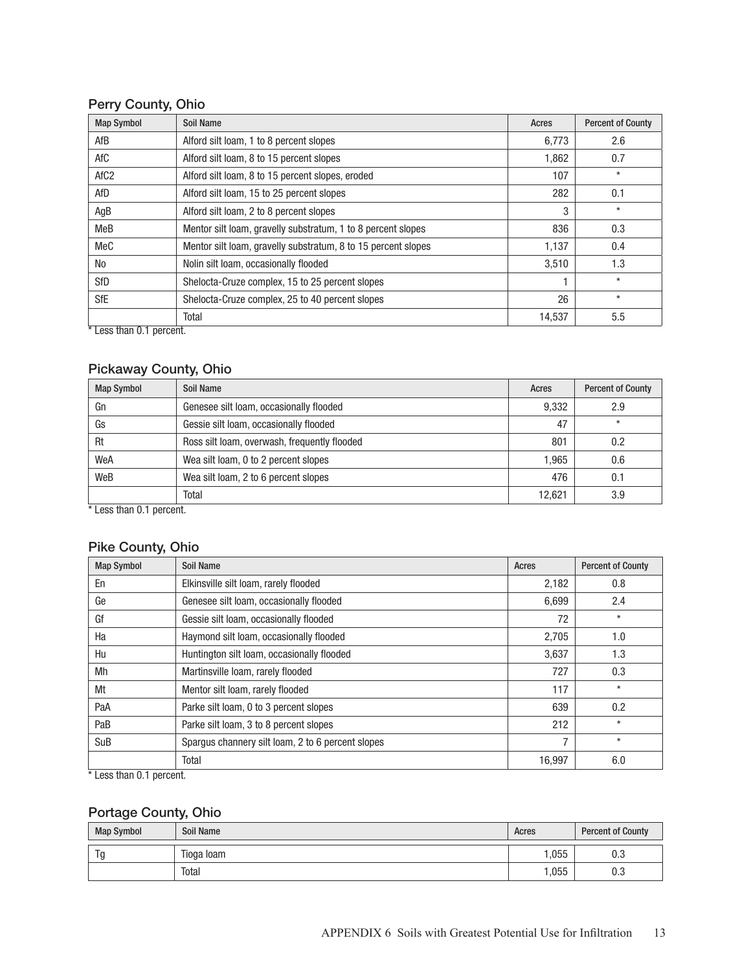# Perry County, Ohio

| <b>Map Symbol</b> | Soil Name                                                     | Acres  | <b>Percent of County</b> |
|-------------------|---------------------------------------------------------------|--------|--------------------------|
| AfB               | Alford silt loam, 1 to 8 percent slopes                       | 6,773  | 2.6                      |
| AfC               | Alford silt loam, 8 to 15 percent slopes                      | 1,862  | 0.7                      |
| AfC <sub>2</sub>  | Alford silt loam, 8 to 15 percent slopes, eroded              | 107    | $\star$                  |
| AfD               | Alford silt loam, 15 to 25 percent slopes                     | 282    | 0.1                      |
| AgB               | Alford silt loam, 2 to 8 percent slopes                       | 3      | $^\star$                 |
| MeB               | Mentor silt loam, gravelly substratum, 1 to 8 percent slopes  | 836    | 0.3                      |
| MeC               | Mentor silt loam, gravelly substratum, 8 to 15 percent slopes | 1,137  | 0.4                      |
| No                | Nolin silt loam, occasionally flooded                         | 3,510  | 1.3                      |
| <b>SfD</b>        | Shelocta-Cruze complex, 15 to 25 percent slopes               | 1      | $\star$                  |
| SfE               | Shelocta-Cruze complex, 25 to 40 percent slopes               | 26     | $\star$                  |
|                   | Total                                                         | 14,537 | 5.5                      |

\* Less than 0.1 percent.

#### Pickaway County, Ohio

| <b>Map Symbol</b> | Soil Name                                    | Acres  | <b>Percent of County</b> |
|-------------------|----------------------------------------------|--------|--------------------------|
| Gn                | Genesee silt loam, occasionally flooded      | 9,332  | 2.9                      |
| Gs                | Gessie silt loam, occasionally flooded       | 47     | $\star$                  |
| Rt                | Ross silt loam, overwash, frequently flooded | 801    | 0.2                      |
| WeA               | Wea silt loam, 0 to 2 percent slopes         | 1.965  | 0.6                      |
| WeB               | Wea silt loam, 2 to 6 percent slopes         | 476    | 0.1                      |
|                   | Total                                        | 12.621 | 3.9                      |

\* Less than 0.1 percent.

### Pike County, Ohio

| <b>Map Symbol</b> | Soil Name                                         | Acres  | <b>Percent of County</b> |
|-------------------|---------------------------------------------------|--------|--------------------------|
| En                | Elkinsville silt loam, rarely flooded             | 2,182  | 0.8                      |
| Ge                | Genesee silt loam, occasionally flooded           | 6,699  | 2.4                      |
| Gf                | Gessie silt loam, occasionally flooded            | 72     | $\star$                  |
| Ha                | Haymond silt loam, occasionally flooded           | 2,705  | 1.0                      |
| Hu                | Huntington silt loam, occasionally flooded        | 3,637  | 1.3                      |
| Mh                | Martinsville Ioam, rarely flooded                 | 727    | 0.3                      |
| Mt                | Mentor silt loam, rarely flooded                  | 117    | $\star$                  |
| PaA               | Parke silt loam, 0 to 3 percent slopes            | 639    | 0.2                      |
| PaB               | Parke silt loam, 3 to 8 percent slopes            | 212    | $\star$                  |
| SuB               | Spargus channery silt loam, 2 to 6 percent slopes | 7      | $\star$                  |
|                   | Total                                             | 16,997 | 6.0                      |

\* Less than 0.1 percent.

# Portage County, Ohio

| <b>Map Symbol</b> | Soil Name  | Acres | <b>Percent of County</b> |
|-------------------|------------|-------|--------------------------|
| ∼                 | Tioga Ioam | 055   | U.J                      |
|                   | Total      | ,055  | υ.υ                      |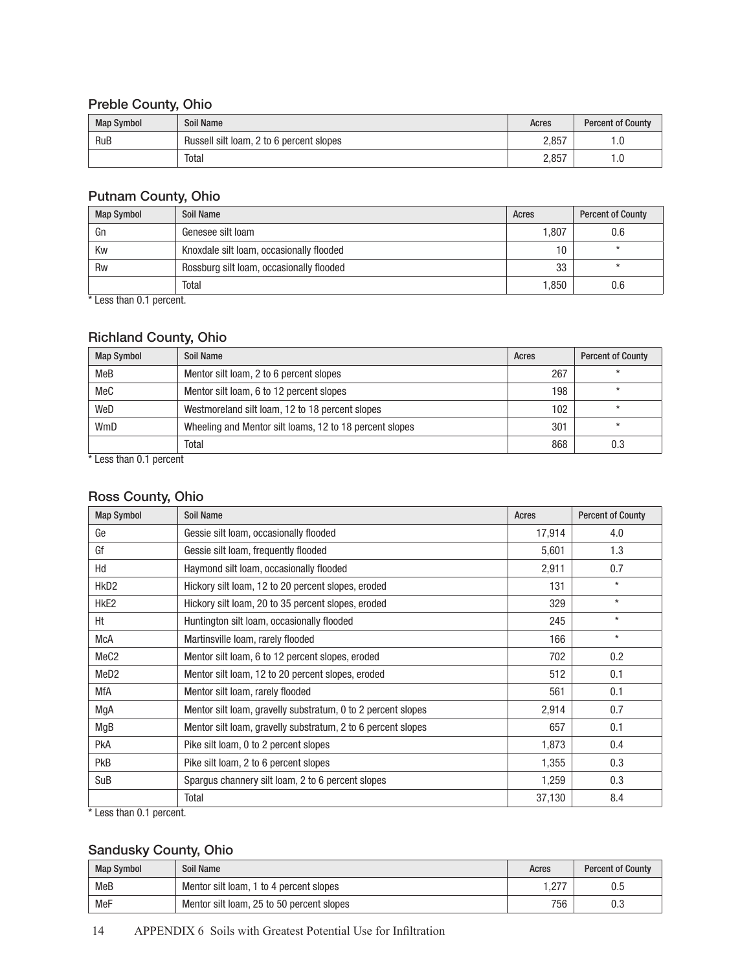# Preble County, Ohio

| <b>Map Symbol</b> | Soil Name                                | Acres | <b>Percent of County</b> |
|-------------------|------------------------------------------|-------|--------------------------|
| <b>RuB</b>        | Russell silt loam, 2 to 6 percent slopes | 2,857 | 1.0                      |
|                   | Total                                    | 2,857 | 1.U                      |

#### Putnam County, Ohio

| <b>Map Symbol</b> | Soil Name                                | Acres           | <b>Percent of County</b> |
|-------------------|------------------------------------------|-----------------|--------------------------|
| Gn                | Genesee silt loam                        | 1.807           | 0.6                      |
| Kw                | Knoxdale silt loam, occasionally flooded | 10 <sup>1</sup> |                          |
| Rw                | Rossburg silt loam, occasionally flooded | 33              |                          |
|                   | Total                                    | 1,850           | 0.6                      |

\* Less than 0.1 percent.

#### Richland County, Ohio

| <b>Map Symbol</b> | Soil Name                                               | Acres | <b>Percent of County</b> |
|-------------------|---------------------------------------------------------|-------|--------------------------|
| MeB               | Mentor silt loam, 2 to 6 percent slopes                 | 267   | ×                        |
| MeC               | Mentor silt loam, 6 to 12 percent slopes                | 198   | $\star$                  |
| WeD               | Westmoreland silt loam, 12 to 18 percent slopes         | 102   | ×                        |
| WmD               | Wheeling and Mentor silt loams, 12 to 18 percent slopes | 301   | ×                        |
|                   | Total                                                   | 868   | 0.3                      |

\* Less than 0.1 percent

# Ross County, Ohio

| <b>Map Symbol</b> | <b>Soil Name</b>                                             | Acres  | <b>Percent of County</b> |
|-------------------|--------------------------------------------------------------|--------|--------------------------|
| Ge                | Gessie silt loam, occasionally flooded                       | 17,914 | 4.0                      |
| Gf                | Gessie silt loam, frequently flooded                         | 5,601  | 1.3                      |
| Hd                | Haymond silt loam, occasionally flooded                      | 2,911  | 0.7                      |
| HkD <sub>2</sub>  | Hickory silt loam, 12 to 20 percent slopes, eroded           | 131    | $\star$                  |
| HkE2              | Hickory silt loam, 20 to 35 percent slopes, eroded           | 329    | $\star$                  |
| Ht                | Huntington silt loam, occasionally flooded                   | 245    | $\star$                  |
| <b>McA</b>        | Martinsville Ioam, rarely flooded                            | 166    | $\star$                  |
| MeC <sub>2</sub>  | Mentor silt loam, 6 to 12 percent slopes, eroded             | 702    | 0.2                      |
| MeD <sub>2</sub>  | Mentor silt loam, 12 to 20 percent slopes, eroded            | 512    | 0.1                      |
| <b>MfA</b>        | Mentor silt loam, rarely flooded                             | 561    | 0.1                      |
| MgA               | Mentor silt loam, gravelly substratum, 0 to 2 percent slopes | 2,914  | 0.7                      |
| MgB               | Mentor silt loam, gravelly substratum, 2 to 6 percent slopes | 657    | 0.1                      |
| PkA               | Pike silt loam, 0 to 2 percent slopes                        | 1,873  | 0.4                      |
| <b>PkB</b>        | Pike silt loam, 2 to 6 percent slopes                        | 1,355  | 0.3                      |
| SuB               | Spargus channery silt loam, 2 to 6 percent slopes            | 1,259  | 0.3                      |
|                   | Total                                                        | 37,130 | 8.4                      |

\* Less than 0.1 percent.

# Sandusky County, Ohio

| <b>Map Symbol</b> | Soil Name                                 | Acres    | <b>Percent of County</b> |
|-------------------|-------------------------------------------|----------|--------------------------|
| <b>MeB</b>        | Mentor silt loam, 1 to 4 percent slopes   | .27<br>. | 0.5                      |
| MeF               | Mentor silt loam, 25 to 50 percent slopes | 756      |                          |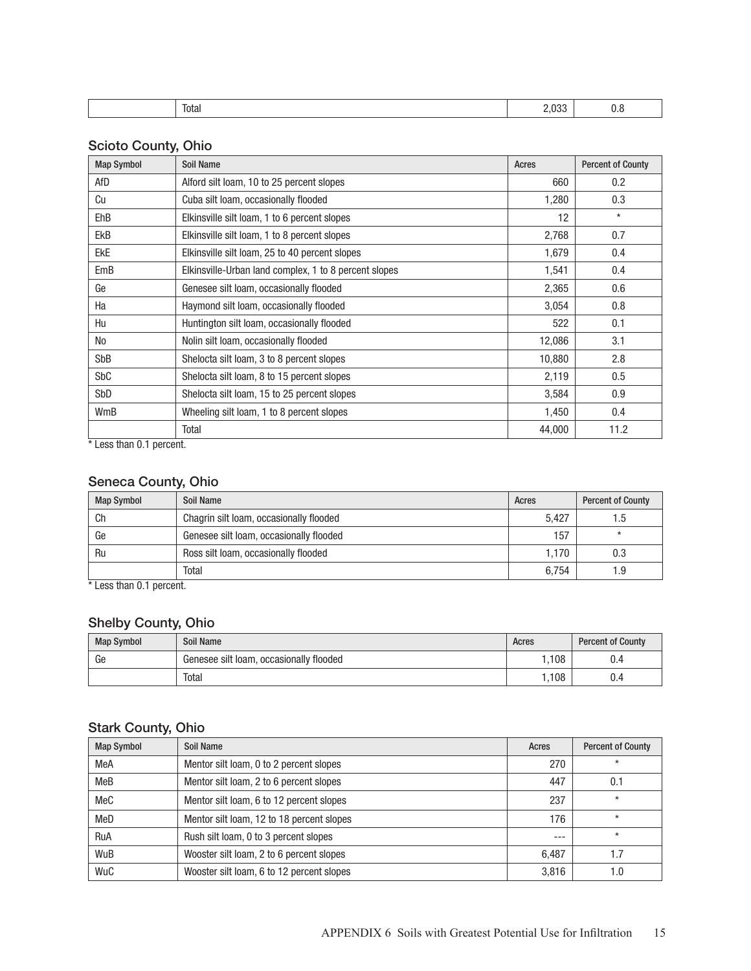| __<br>Total | 000<br>. | v.v |
|-------------|----------|-----|

#### Scioto County, Ohio

| <b>Map Symbol</b> | <b>Soil Name</b>                                      | Acres  | <b>Percent of County</b> |
|-------------------|-------------------------------------------------------|--------|--------------------------|
| AfD               | Alford silt loam, 10 to 25 percent slopes             | 660    | 0.2                      |
| Cu                | Cuba silt loam, occasionally flooded                  | 1,280  | 0.3                      |
| <b>EhB</b>        | Elkinsville silt loam, 1 to 6 percent slopes          | 12     | $\star$                  |
| EkB               | Elkinsville silt loam, 1 to 8 percent slopes          | 2,768  | 0.7                      |
| <b>EkE</b>        | Elkinsville silt loam, 25 to 40 percent slopes        | 1,679  | 0.4                      |
| EmB               | Elkinsville-Urban land complex, 1 to 8 percent slopes | 1,541  | 0.4                      |
| Ge                | Genesee silt loam, occasionally flooded               | 2,365  | 0.6                      |
| Ha                | Haymond silt loam, occasionally flooded               | 3,054  | 0.8                      |
| Hu                | Huntington silt loam, occasionally flooded            | 522    | 0.1                      |
| No                | Nolin silt loam, occasionally flooded                 | 12,086 | 3.1                      |
| SbB               | Shelocta silt loam, 3 to 8 percent slopes             | 10,880 | 2.8                      |
| SbC               | Shelocta silt loam, 8 to 15 percent slopes            | 2,119  | 0.5                      |
| SbD               | Shelocta silt loam, 15 to 25 percent slopes           | 3,584  | 0.9                      |
| WmB               | Wheeling silt loam, 1 to 8 percent slopes             | 1,450  | 0.4                      |
|                   | Total                                                 | 44,000 | 11.2                     |

\* Less than 0.1 percent.

# Seneca County, Ohio

| <b>Map Symbol</b> | Soil Name                               | Acres | <b>Percent of County</b> |
|-------------------|-----------------------------------------|-------|--------------------------|
| Сh                | Chagrin silt loam, occasionally flooded | 5.427 | . .ხ                     |
| Ge                | Genesee silt loam, occasionally flooded | 157   | $\star$                  |
| Ru                | Ross silt loam, occasionally flooded    | 1.170 | 0.3                      |
|                   | Total                                   | 6.754 | ∣.9                      |

\* Less than 0.1 percent.

# Shelby County, Ohio

| <b>Map Symbol</b> | Soil Name                               | Acres | <b>Percent of County</b> |
|-------------------|-----------------------------------------|-------|--------------------------|
| Ge                | Genesee silt loam, occasionally flooded | .108  | ∪.−                      |
|                   | Total                                   | ,108  | ∪.¬                      |

#### Stark County, Ohio

| <b>Map Symbol</b> | Soil Name                                 | Acres | <b>Percent of County</b> |
|-------------------|-------------------------------------------|-------|--------------------------|
| MeA               | Mentor silt loam, 0 to 2 percent slopes   | 270   | $\star$                  |
| MeB               | Mentor silt loam, 2 to 6 percent slopes   | 447   | 0.1                      |
| MeC               | Mentor silt loam, 6 to 12 percent slopes  | 237   | $\star$                  |
| MeD               | Mentor silt loam, 12 to 18 percent slopes | 176   | $\star$                  |
| RuA               | Rush silt loam, 0 to 3 percent slopes     | ---   | $\star$                  |
| WuB               | Wooster silt loam, 2 to 6 percent slopes  | 6.487 |                          |
| WuC               | Wooster silt loam, 6 to 12 percent slopes | 3.816 |                          |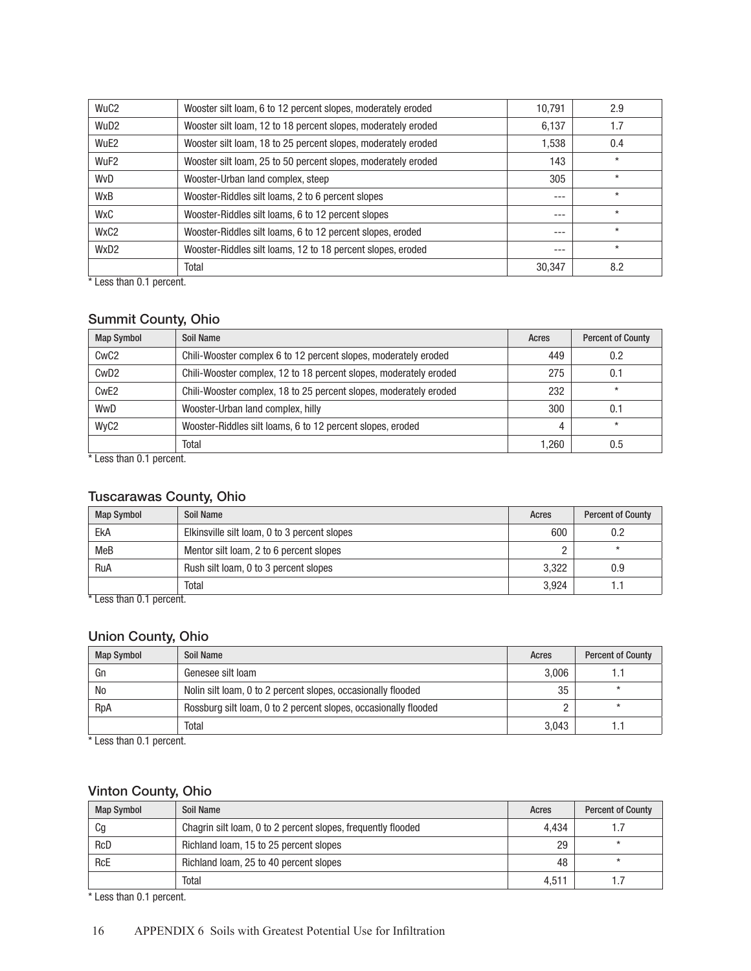| WuC <sub>2</sub> | Wooster silt loam, 6 to 12 percent slopes, moderately eroded  | 10,791 | 2.9     |
|------------------|---------------------------------------------------------------|--------|---------|
| WuD <sub>2</sub> | Wooster silt loam, 12 to 18 percent slopes, moderately eroded | 6,137  | 1.7     |
| WuE2             | Wooster silt loam, 18 to 25 percent slopes, moderately eroded | 1,538  | 0.4     |
| WuF <sub>2</sub> | Wooster silt loam, 25 to 50 percent slopes, moderately eroded | 143    | $\star$ |
| WvD              | Wooster-Urban land complex, steep                             | 305    | $\star$ |
| WxB              | Wooster-Riddles silt loams, 2 to 6 percent slopes             | ---    | $\star$ |
| <b>WxC</b>       | Wooster-Riddles silt loams, 6 to 12 percent slopes            | ---    | $\star$ |
| WxC <sub>2</sub> | Wooster-Riddles silt loams, 6 to 12 percent slopes, eroded    | ---    | $\star$ |
| WxD <sub>2</sub> | Wooster-Riddles silt loams, 12 to 18 percent slopes, eroded   | ---    | $\star$ |
|                  | Total                                                         | 30,347 | 8.2     |

\* Less than 0.1 percent.

# Summit County, Ohio

| <b>Map Symbol</b> | Soil Name                                                         | Acres | <b>Percent of County</b> |
|-------------------|-------------------------------------------------------------------|-------|--------------------------|
| CwC <sub>2</sub>  | Chili-Wooster complex 6 to 12 percent slopes, moderately eroded   | 449   | 0.2                      |
| CwD <sub>2</sub>  | Chili-Wooster complex, 12 to 18 percent slopes, moderately eroded | 275   | 0.1                      |
| Cw <sub>E2</sub>  | Chili-Wooster complex, 18 to 25 percent slopes, moderately eroded | 232   | $\star$                  |
| WwD               | Wooster-Urban land complex, hilly                                 | 300   | 0.1                      |
| WyC <sub>2</sub>  | Wooster-Riddles silt loams, 6 to 12 percent slopes, eroded        | 4     | $\star$                  |
|                   | Total                                                             | 1.260 | 0.5                      |

\* Less than 0.1 percent.

#### Tuscarawas County, Ohio

| <b>Map Symbol</b> | Soil Name                                    | Acres | <b>Percent of County</b> |
|-------------------|----------------------------------------------|-------|--------------------------|
| Eka               | Elkinsville silt loam, 0 to 3 percent slopes | 600   | 0.2                      |
| <b>MeB</b>        | Mentor silt loam, 2 to 6 percent slopes      |       |                          |
| RuA               | Rush silt loam, 0 to 3 percent slopes        | 3,322 | 0.9                      |
| $-$<br>$\cdots$   | Total                                        | 3.924 | .                        |

\* Less than 0.1 percent.

#### Union County, Ohio

| <b>Map Symbol</b>               | Soil Name                                                       | Acres | <b>Percent of County</b> |
|---------------------------------|-----------------------------------------------------------------|-------|--------------------------|
| Gr                              | Genesee silt loam                                               | 3.006 |                          |
| No                              | Nolin silt loam, 0 to 2 percent slopes, occasionally flooded    | 35    |                          |
| RpA                             | Rossburg silt loam, 0 to 2 percent slopes, occasionally flooded |       |                          |
| <b>ALC: NO</b><br>$\sim$ $\sim$ | Total                                                           | 3.043 |                          |

\* Less than 0.1 percent.

# Vinton County, Ohio

| <b>Map Symbol</b> | Soil Name                                                    | Acres | <b>Percent of County</b> |
|-------------------|--------------------------------------------------------------|-------|--------------------------|
| Cg                | Chagrin silt loam, 0 to 2 percent slopes, frequently flooded | 4.434 |                          |
| <b>RcD</b>        | Richland Ioam, 15 to 25 percent slopes                       | 29    |                          |
| <b>RcE</b>        | Richland Ioam, 25 to 40 percent slopes                       | 48    |                          |
|                   | Total                                                        | 4.511 |                          |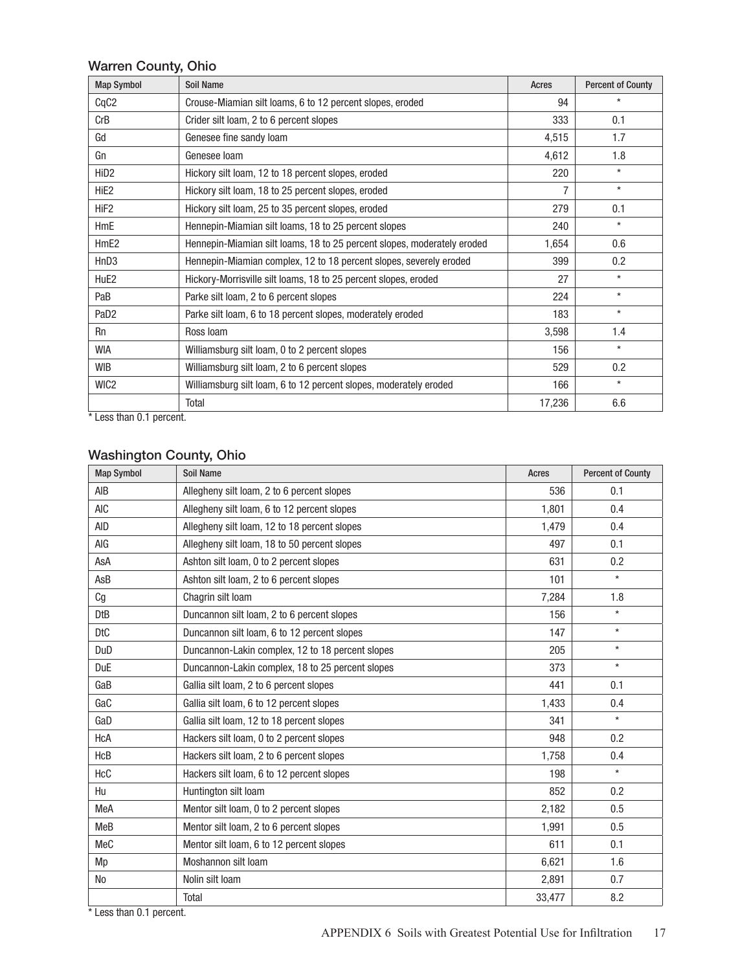#### Warren County, Ohio

| <b>Map Symbol</b> | <b>Soil Name</b>                                                        | Acres  | <b>Percent of County</b> |
|-------------------|-------------------------------------------------------------------------|--------|--------------------------|
| CqC <sub>2</sub>  | Crouse-Miamian silt loams, 6 to 12 percent slopes, eroded               | 94     | $\star$                  |
| CrB               | Crider silt loam, 2 to 6 percent slopes                                 | 333    | 0.1                      |
| Gd                | Genesee fine sandy loam                                                 | 4,515  | 1.7                      |
| Gn                | Genesee loam                                                            | 4,612  | 1.8                      |
| HiD <sub>2</sub>  | Hickory silt loam, 12 to 18 percent slopes, eroded                      | 220    | $\star$                  |
| HiE2              | Hickory silt loam, 18 to 25 percent slopes, eroded                      | 7      | $\star$                  |
| HiF <sub>2</sub>  | Hickory silt loam, 25 to 35 percent slopes, eroded                      | 279    | 0.1                      |
| HmE               | Hennepin-Miamian silt loams, 18 to 25 percent slopes                    | 240    | $\star$                  |
| HmE <sub>2</sub>  | Hennepin-Miamian silt loams, 18 to 25 percent slopes, moderately eroded | 1,654  | 0.6                      |
| HnD <sub>3</sub>  | Hennepin-Miamian complex, 12 to 18 percent slopes, severely eroded      | 399    | 0.2                      |
| HuE2              | Hickory-Morrisville silt loams, 18 to 25 percent slopes, eroded         | 27     | $\star$                  |
| PaB               | Parke silt loam, 2 to 6 percent slopes                                  | 224    | $\star$                  |
| PaD <sub>2</sub>  | Parke silt loam, 6 to 18 percent slopes, moderately eroded              | 183    | $\star$                  |
| <b>Rn</b>         | Ross Ioam                                                               | 3,598  | 1.4                      |
| <b>WIA</b>        | Williamsburg silt loam, 0 to 2 percent slopes                           | 156    | $\star$                  |
| <b>WIB</b>        | Williamsburg silt loam, 2 to 6 percent slopes                           | 529    | 0.2                      |
| WIC2              | Williamsburg silt loam, 6 to 12 percent slopes, moderately eroded       | 166    | $\star$                  |
|                   | Total                                                                   | 17,236 | 6.6                      |

\* Less than 0.1 percent.

### Washington County, Ohio

| <b>Map Symbol</b> | <b>Soil Name</b>                                 | Acres  | <b>Percent of County</b> |
|-------------------|--------------------------------------------------|--------|--------------------------|
| AIB               | Allegheny silt loam, 2 to 6 percent slopes       | 536    | 0.1                      |
| <b>AIC</b>        | Allegheny silt loam, 6 to 12 percent slopes      | 1,801  | 0.4                      |
| <b>AID</b>        | Allegheny silt loam, 12 to 18 percent slopes     | 1,479  | 0.4                      |
| AIG               | Allegheny silt loam, 18 to 50 percent slopes     | 497    | 0.1                      |
| AsA               | Ashton silt loam, 0 to 2 percent slopes          | 631    | 0.2                      |
| AsB               | Ashton silt loam, 2 to 6 percent slopes          | 101    | $\star$                  |
| Cg                | Chagrin silt loam                                | 7,284  | 1.8                      |
| <b>DtB</b>        | Duncannon silt loam, 2 to 6 percent slopes       | 156    | $\star$                  |
| <b>DtC</b>        | Duncannon silt loam, 6 to 12 percent slopes      | 147    | $\star$                  |
| DuD               | Duncannon-Lakin complex, 12 to 18 percent slopes | 205    | $\star$                  |
| <b>DuE</b>        | Duncannon-Lakin complex, 18 to 25 percent slopes | 373    | $\star$                  |
| GaB               | Gallia silt loam, 2 to 6 percent slopes          | 441    | 0.1                      |
| GaC               | Gallia silt loam, 6 to 12 percent slopes         | 1,433  | 0.4                      |
| GaD               | Gallia silt loam, 12 to 18 percent slopes        | 341    | $\star$                  |
| <b>HcA</b>        | Hackers silt loam, 0 to 2 percent slopes         | 948    | 0.2                      |
| HcB               | Hackers silt loam, 2 to 6 percent slopes         | 1,758  | 0.4                      |
| HcC               | Hackers silt loam, 6 to 12 percent slopes        | 198    | $\star$                  |
| Hu                | Huntington silt loam                             | 852    | 0.2                      |
| MeA               | Mentor silt loam, 0 to 2 percent slopes          | 2,182  | 0.5                      |
| MeB               | Mentor silt loam, 2 to 6 percent slopes          | 1,991  | 0.5                      |
| MeC               | Mentor silt loam, 6 to 12 percent slopes         | 611    | 0.1                      |
| Mp                | Moshannon silt loam                              | 6,621  | 1.6                      |
| <b>No</b>         | Nolin silt loam                                  | 2,891  | 0.7                      |
|                   | Total                                            | 33,477 | 8.2                      |